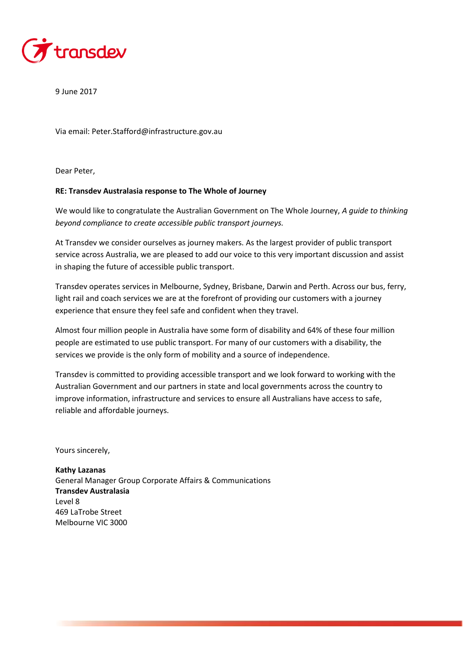

9 June 2017

Via email: Peter.Stafford@infrastructure.gov.au

Dear Peter,

## **RE: Transdev Australasia response to The Whole of Journey**

We would like to congratulate the Australian Government on The Whole Journey, *A guide to thinking beyond compliance to create accessible public transport journeys.*

At Transdev we consider ourselves as journey makers. As the largest provider of public transport service across Australia, we are pleased to add our voice to this very important discussion and assist in shaping the future of accessible public transport.

Transdev operates services in Melbourne, Sydney, Brisbane, Darwin and Perth. Across our bus, ferry, light rail and coach services we are at the forefront of providing our customers with a journey experience that ensure they feel safe and confident when they travel.

Almost four million people in Australia have some form of disability and 64% of these four million people are estimated to use public transport. For many of our customers with a disability, the services we provide is the only form of mobility and a source of independence.

Transdev is committed to providing accessible transport and we look forward to working with the Australian Government and our partners in state and local governments across the country to improve information, infrastructure and services to ensure all Australians have access to safe, reliable and affordable journeys.

Yours sincerely,

**Kathy Lazanas** General Manager Group Corporate Affairs & Communications **Transdev Australasia** Level 8 469 LaTrobe Street Melbourne VIC 3000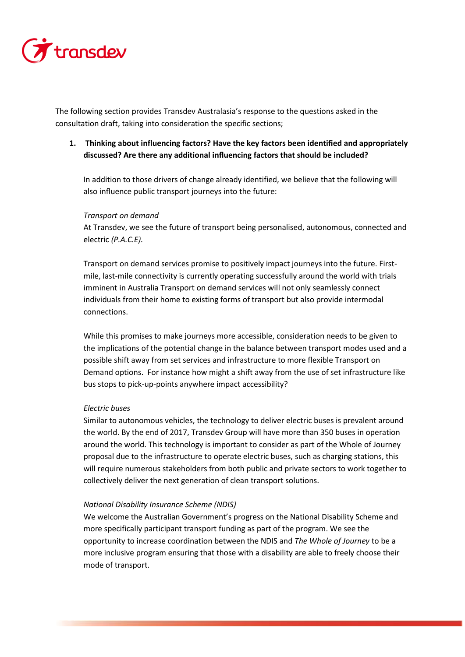

The following section provides Transdev Australasia's response to the questions asked in the consultation draft, taking into consideration the specific sections;

# **1. Thinking about influencing factors? Have the key factors been identified and appropriately discussed? Are there any additional influencing factors that should be included?**

In addition to those drivers of change already identified, we believe that the following will also influence public transport journeys into the future:

## *Transport on demand*

At Transdev, we see the future of transport being personalised, autonomous, connected and electric *(P.A.C.E).* 

Transport on demand services promise to positively impact journeys into the future. Firstmile, last-mile connectivity is currently operating successfully around the world with trials imminent in Australia Transport on demand services will not only seamlessly connect individuals from their home to existing forms of transport but also provide intermodal connections.

While this promises to make journeys more accessible, consideration needs to be given to the implications of the potential change in the balance between transport modes used and a possible shift away from set services and infrastructure to more flexible Transport on Demand options. For instance how might a shift away from the use of set infrastructure like bus stops to pick-up-points anywhere impact accessibility?

## *Electric buses*

Similar to autonomous vehicles, the technology to deliver electric buses is prevalent around the world. By the end of 2017, Transdev Group will have more than 350 buses in operation around the world. This technology is important to consider as part of the Whole of Journey proposal due to the infrastructure to operate electric buses, such as charging stations, this will require numerous stakeholders from both public and private sectors to work together to collectively deliver the next generation of clean transport solutions.

## *National Disability Insurance Scheme (NDIS)*

We welcome the Australian Government's progress on the National Disability Scheme and more specifically participant transport funding as part of the program. We see the opportunity to increase coordination between the NDIS and *The Whole of Journey* to be a more inclusive program ensuring that those with a disability are able to freely choose their mode of transport.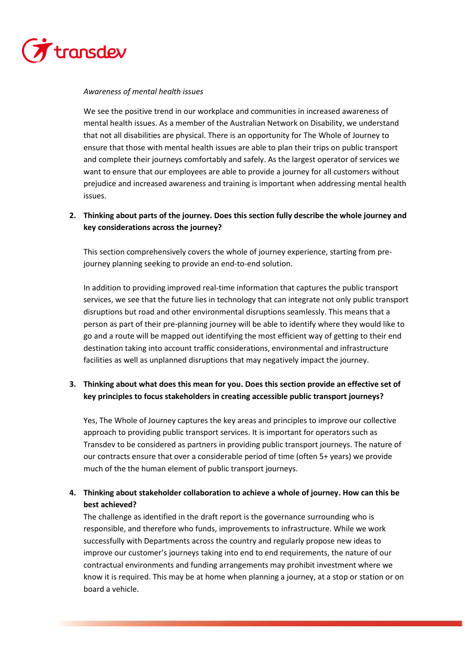

## *Awareness of mental health issues*

We see the positive trend in our workplace and communities in increased awareness of mental health issues. As a member of the Australian Network on Disability, we understand that not all disabilities are physical. There is an opportunity for The Whole of Journey to ensure that those with mental health issues are able to plan their trips on public transport and complete their journeys comfortably and safely. As the largest operator of services we want to ensure that our employees are able to provide a journey for all customers without prejudice and increased awareness and training is important when addressing mental health issues.

# **2. Thinking about parts of the journey. Does this section fully describe the whole journey and key considerations across the journey?**

This section comprehensively covers the whole of journey experience, starting from prejourney planning seeking to provide an end-to-end solution.

In addition to providing improved real-time information that captures the public transport services, we see that the future lies in technology that can integrate not only public transport disruptions but road and other environmental disruptions seamlessly. This means that a person as part of their pre-planning journey will be able to identify where they would like to go and a route will be mapped out identifying the most efficient way of getting to their end destination taking into account traffic considerations, environmental and infrastructure facilities as well as unplanned disruptions that may negatively impact the journey.

# **3. Thinking about what does this mean for you. Does this section provide an effective set of key principles to focus stakeholders in creating accessible public transport journeys?**

Yes, The Whole of Journey captures the key areas and principles to improve our collective approach to providing public transport services. It is important for operators such as Transdev to be considered as partners in providing public transport journeys. The nature of our contracts ensure that over a considerable period of time (often 5+ years) we provide much of the the human element of public transport journeys.

# **4. Thinking about stakeholder collaboration to achieve a whole of journey. How can this be best achieved?**

The challenge as identified in the draft report is the governance surrounding who is responsible, and therefore who funds, improvements to infrastructure. While we work successfully with Departments across the country and regularly propose new ideas to improve our customer's journeys taking into end to end requirements, the nature of our contractual environments and funding arrangements may prohibit investment where we know it is required. This may be at home when planning a journey, at a stop or station or on board a vehicle.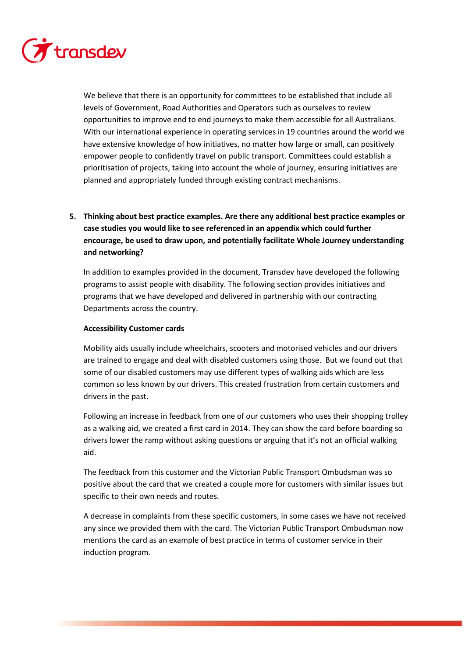

We believe that there is an opportunity for committees to be established that include all levels of Government, Road Authorities and Operators such as ourselves to review opportunities to improve end to end journeys to make them accessible for all Australians. With our international experience in operating services in 19 countries around the world we have extensive knowledge of how initiatives, no matter how large or small, can positively empower people to confidently travel on public transport. Committees could establish a prioritisation of projects, taking into account the whole of journey, ensuring initiatives are planned and appropriately funded through existing contract mechanisms.

# **5. Thinking about best practice examples. Are there any additional best practice examples or case studies you would like to see referenced in an appendix which could further encourage, be used to draw upon, and potentially facilitate Whole Journey understanding and networking?**

In addition to examples provided in the document, Transdev have developed the following programs to assist people with disability. The following section provides initiatives and programs that we have developed and delivered in partnership with our contracting Departments across the country.

## **Accessibility Customer cards**

Mobility aids usually include wheelchairs, scooters and motorised vehicles and our drivers are trained to engage and deal with disabled customers using those. But we found out that some of our disabled customers may use different types of walking aids which are less common so less known by our drivers. This created frustration from certain customers and drivers in the past.

Following an increase in feedback from one of our customers who uses their shopping trolley as a walking aid, we created a first card in 2014. They can show the card before boarding so drivers lower the ramp without asking questions or arguing that it's not an official walking aid.

The feedback from this customer and the Victorian Public Transport Ombudsman was so positive about the card that we created a couple more for customers with similar issues but specific to their own needs and routes.

A decrease in complaints from these specific customers, in some cases we have not received any since we provided them with the card. The Victorian Public Transport Ombudsman now mentions the card as an example of best practice in terms of customer service in their induction program.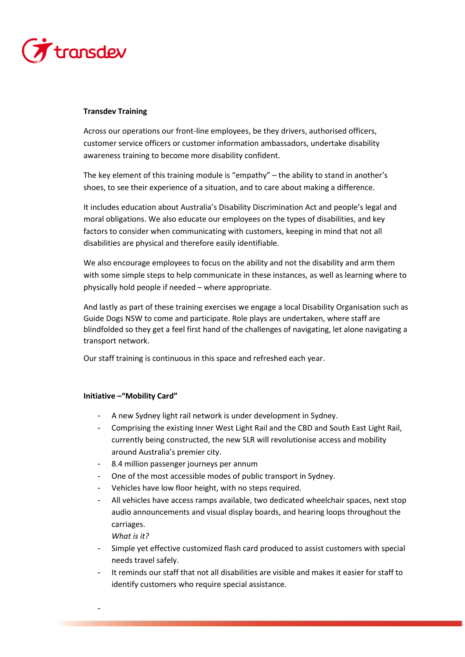

## **Transdev Training**

Across our operations our front-line employees, be they drivers, authorised officers, customer service officers or customer information ambassadors, undertake disability awareness training to become more disability confident.

The key element of this training module is "empathy" – the ability to stand in another's shoes, to see their experience of a situation, and to care about making a difference.

It includes education about Australia's Disability Discrimination Act and people's legal and moral obligations. We also educate our employees on the types of disabilities, and key factors to consider when communicating with customers, keeping in mind that not all disabilities are physical and therefore easily identifiable.

We also encourage employees to focus on the ability and not the disability and arm them with some simple steps to help communicate in these instances, as well as learning where to physically hold people if needed – where appropriate.

And lastly as part of these training exercises we engage a local Disability Organisation such as Guide Dogs NSW to come and participate. Role plays are undertaken, where staff are blindfolded so they get a feel first hand of the challenges of navigating, let alone navigating a transport network.

Our staff training is continuous in this space and refreshed each year.

## **Initiative –"Mobility Card"**

- A new Sydney light rail network is under development in Sydney.
- Comprising the existing Inner West Light Rail and the CBD and South East Light Rail, currently being constructed, the new SLR will revolutionise access and mobility around Australia's premier city.
- 8.4 million passenger journeys per annum
- One of the most accessible modes of public transport in Sydney.
- Vehicles have low floor height, with no steps required.
- All vehicles have access ramps available, two dedicated wheelchair spaces, next stop audio announcements and visual display boards, and hearing loops throughout the carriages.

*What is it?*

-

- Simple yet effective customized flash card produced to assist customers with special needs travel safely.
- It reminds our staff that not all disabilities are visible and makes it easier for staff to identify customers who require special assistance.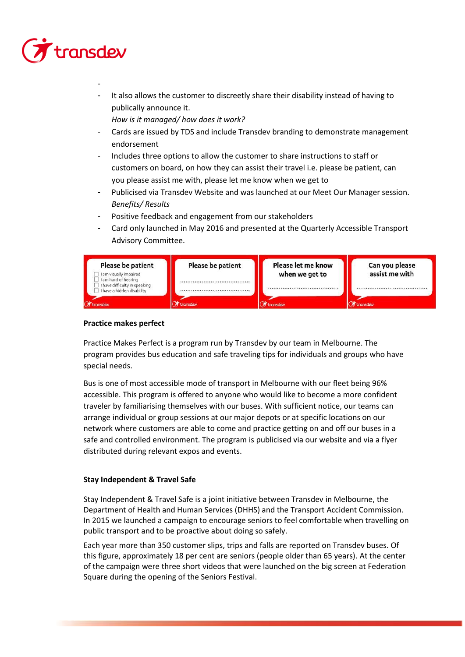# transdev

-

It also allows the customer to discreetly share their disability instead of having to publically announce it.

*How is it managed/ how does it work?*

- Cards are issued by TDS and include Transdev branding to demonstrate management endorsement
- Includes three options to allow the customer to share instructions to staff or customers on board, on how they can assist their travel i.e. please be patient, can you please assist me with, please let me know when we get to
- Publicised via Transdev Website and was launched at our Meet Our Manager session. *Benefits/ Results*
- Positive feedback and engagement from our stakeholders
- Card only launched in May 2016 and presented at the Quarterly Accessible Transport Advisory Committee.

| Please be patient<br>I am visually impaired<br>I am hard of hearing              | Please be patient | Please let me know<br>when we get to | Can you please<br>assist me with |
|----------------------------------------------------------------------------------|-------------------|--------------------------------------|----------------------------------|
| I have difficulty in speaking<br>I have a hidden disability<br><b>A</b> transdev | transdev          | <br>transdev                         | <b>A</b> transdev                |

## **Practice makes perfect**

Practice Makes Perfect is a program run by Transdev by our team in Melbourne. The program provides bus education and safe traveling tips for individuals and groups who have special needs.

Bus is one of most accessible mode of transport in Melbourne with our fleet being 96% accessible. This program is offered to anyone who would like to become a more confident traveler by familiarising themselves with our buses. With sufficient notice, our teams can arrange individual or group sessions at our major depots or at specific locations on our network where customers are able to come and practice getting on and off our buses in a safe and controlled environment. The program is publicised via our website and via a flyer distributed during relevant expos and events.

## **Stay Independent & Travel Safe**

Stay Independent & Travel Safe is a joint initiative between Transdev in Melbourne, the Department of Health and Human Services (DHHS) and the Transport Accident Commission. In 2015 we launched a campaign to encourage seniors to feel comfortable when travelling on public transport and to be proactive about doing so safely.

Each year more than 350 customer slips, trips and falls are reported on Transdev buses. Of this figure, approximately 18 per cent are seniors (people older than 65 years). At the center of the campaign were three short videos that were launched on the big screen at Federation Square during the opening of the Seniors Festival.